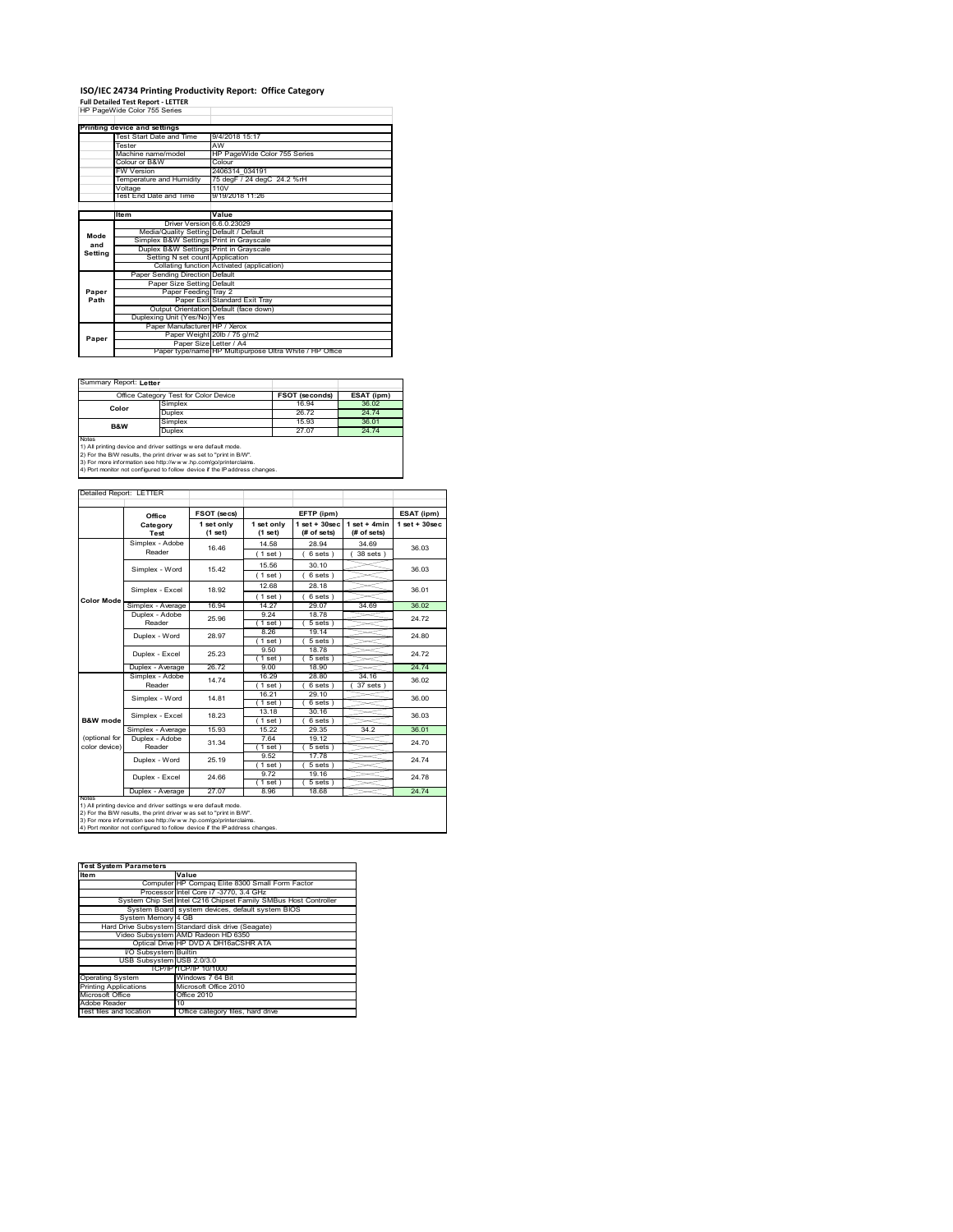# **ISO/IEC 24734 Printing Productivity Report: Office Category Full Detailed Test Report ‐ LETTER** HP PageWide Color 755 Series

|         | Printing device and settings            |                                                         |  |  |  |  |
|---------|-----------------------------------------|---------------------------------------------------------|--|--|--|--|
|         | Test Start Date and Time                | 9/4/2018 15:17                                          |  |  |  |  |
|         | Tester                                  | AW                                                      |  |  |  |  |
|         | Machine name/model                      | HP PageWide Color 755 Series                            |  |  |  |  |
|         | Colour or B&W                           | Colour                                                  |  |  |  |  |
|         | FW Version                              | 2406314 034191                                          |  |  |  |  |
|         | Temperature and Humidity                | 75 degF / 24 degC 24.2 %rH                              |  |  |  |  |
|         | Voltage                                 | 110V                                                    |  |  |  |  |
|         | Test End Date and Time                  | 9/19/2018 11:26                                         |  |  |  |  |
|         |                                         |                                                         |  |  |  |  |
|         | ltem                                    | Value                                                   |  |  |  |  |
|         | Driver Version 6.6.0.23029              |                                                         |  |  |  |  |
| Mode    | Media/Quality Setting Default / Default |                                                         |  |  |  |  |
| and     | Simplex B&W Settings Print in Grayscale |                                                         |  |  |  |  |
| Setting | Duplex B&W Settings Print in Grayscale  |                                                         |  |  |  |  |
|         | Setting N set count Application         |                                                         |  |  |  |  |
|         |                                         | Collating function Activated (application)              |  |  |  |  |
|         | Paper Sending Direction Default         |                                                         |  |  |  |  |
|         | Paper Size Setting Default              |                                                         |  |  |  |  |
| Paper   | Paper Feeding Tray 2                    |                                                         |  |  |  |  |
| Path    |                                         | Paper Exit Standard Exit Tray                           |  |  |  |  |
|         |                                         | Output Orientation Default (face down)                  |  |  |  |  |
|         | Duplexing Unit (Yes/No) Yes             |                                                         |  |  |  |  |
|         | Paper Manufacturer HP / Xerox           |                                                         |  |  |  |  |
| Paper   |                                         | Paper Weight 20lb / 75 g/m2                             |  |  |  |  |
|         | Paper Size Letter / A4                  |                                                         |  |  |  |  |
|         |                                         | Paper type/name HP Multipurpose Ultra White / HP Office |  |  |  |  |

Ï

ı

Summary Report: **Letter**

|                                                                             | Office Category Test for Color Device |       | ESAT (ipm) |  |  |
|-----------------------------------------------------------------------------|---------------------------------------|-------|------------|--|--|
| Color                                                                       | Simplex                               | 16.94 | 36.02      |  |  |
|                                                                             | Duplex                                | 26.72 | 24 74      |  |  |
| B&W                                                                         | Simplex                               | 15.93 | 36.01      |  |  |
|                                                                             | Duplex                                | 27.07 | 24.74      |  |  |
| <b>Notes</b>                                                                |                                       |       |            |  |  |
| 1) All printing device and driver settings w ere default mode.              |                                       |       |            |  |  |
| [2) For the B/W results, the print driver was set to "print in B/W".        |                                       |       |            |  |  |
| 195. The more information one letter (horrors) has a conferenced containers |                                       |       |            |  |  |

3) For more information see http://w w w .hp.com/go/printerclaims. 4) Port monitor not configured to follow device if the IP address changes.

| Detailed Report: LETTER        |                           |                       |                       |                                  |                               |                   |
|--------------------------------|---------------------------|-----------------------|-----------------------|----------------------------------|-------------------------------|-------------------|
|                                | Office                    | FSOT (secs)           |                       | EFTP (ipm)                       |                               | ESAT (ipm)        |
|                                | Category<br>Test          | 1 set only<br>(1 set) | 1 set only<br>(1 set) | $1$ set $+30$ sec<br>(# of sets) | $1$ set + 4min<br>(# of sets) | $1$ set $+30$ sec |
|                                | Simplex - Adobe<br>Reader | 16 46                 | 14.58<br>1 set)       | 28.94<br>6 sets)                 | 34 69<br>38 sets )            | 36.03             |
|                                | Simplex - Word            | 15.42                 | 15.56<br>$1$ set)     | 30 10<br>6 sets)                 |                               | 36.03             |
|                                | Simplex - Excel           | 18.92                 | 12.68<br>$'1$ set)    | 28.18<br>$6 sets$ )              |                               | 36.01             |
| <b>Color Mode</b>              | Simplex - Average         | 16.94                 | 14.27                 | 29.07                            | 34.69                         | 36.02             |
|                                | Duplex - Adobe<br>Reader  | 25.96                 | 9.24<br>$1$ set)      | 18.78<br>$5 sets$ )              |                               | 24 72             |
|                                | Duplex - Word             | 28.97                 | 8.26<br>$1$ set $)$   | 19.14<br>$5 sets$ )              |                               | 24.80             |
|                                | Duplex - Excel            | 25.23                 | 9.50<br>$1$ set)      | 18.78<br>$5 sets$ )              |                               | 24 72             |
|                                | Duplex - Average          | 26.72                 | 9.00                  | 18.90                            |                               | 24.74             |
|                                | Simplex - Adobe<br>Reader | 14 74                 | 16.29<br>$1$ set)     | 28.80<br>6 sets                  | 34.16<br>37 sets              | 36.02             |
|                                | Simplex - Word            | 14.81                 | 16.21<br>$1$ set)     | 29.10<br>$6 sets$ )              |                               | 36.00             |
| <b>B&amp;W</b> mode            | Simplex - Excel           | 18 23                 | 13 18<br>$1$ set)     | 30.16<br>6 sets)                 |                               | 36.03             |
|                                | Simplex - Average         | 15.93                 | 15 22                 | 29.35                            | 34.2                          | 36.01             |
| (optional for<br>color device) | Duplex - Adobe<br>Reader  | 31.34                 | 764<br>1 set)         | 19 12<br>$5 sets$ )              |                               | 24.70             |
|                                | Duplex - Word             | 25.19                 | 9.52<br>$1$ set)      | 17.78<br>$5 sets$ )              |                               | 24 74             |
|                                | Duplex - Excel            | 24.66                 | 9.72<br>1 set)        | 19.16<br>$5 sets$ )              |                               | 24 78             |
| <b>NOtes</b>                   | Duplex - Average          | 27.07                 | 8.96                  | 18.68                            |                               | 24.74             |

notes<br>1) All printing device and driver settings were default mode.<br>2) For the B/W results, the print driver was set to "print in B/W".<br>3) For more information see http://www.hp.com/go/printerclaims.<br>4) Por morator not con

| <b>Test System Parameters</b> |                                                                 |  |  |  |
|-------------------------------|-----------------------------------------------------------------|--|--|--|
| Item                          | Value                                                           |  |  |  |
|                               | Computer HP Compaq Elite 8300 Small Form Factor                 |  |  |  |
|                               | Processor Intel Core i7 -3770, 3.4 GHz                          |  |  |  |
|                               | System Chip Set Intel C216 Chipset Family SMBus Host Controller |  |  |  |
|                               | System Board system devices, default system BIOS                |  |  |  |
| System Memory 4 GB            |                                                                 |  |  |  |
|                               | Hard Drive Subsystem Standard disk drive (Seagate)              |  |  |  |
|                               | Video Subsystem AMD Radeon HD 6350                              |  |  |  |
|                               | Optical Drive HP DVD A DH16aCSHR ATA                            |  |  |  |
| I/O Subsystem Builtin         |                                                                 |  |  |  |
| USB Subsystem USB 2.0/3.0     |                                                                 |  |  |  |
|                               | TCP/IPITCP/IP 10/1000                                           |  |  |  |
| <b>Operating System</b>       | Windows 7 64 Bit                                                |  |  |  |
| <b>Printing Applications</b>  | Microsoft Office 2010                                           |  |  |  |
| Microsoft Office              | Office 2010                                                     |  |  |  |
| Adobe Reader                  | 10                                                              |  |  |  |
| Test files and location       | Office category files, hard drive                               |  |  |  |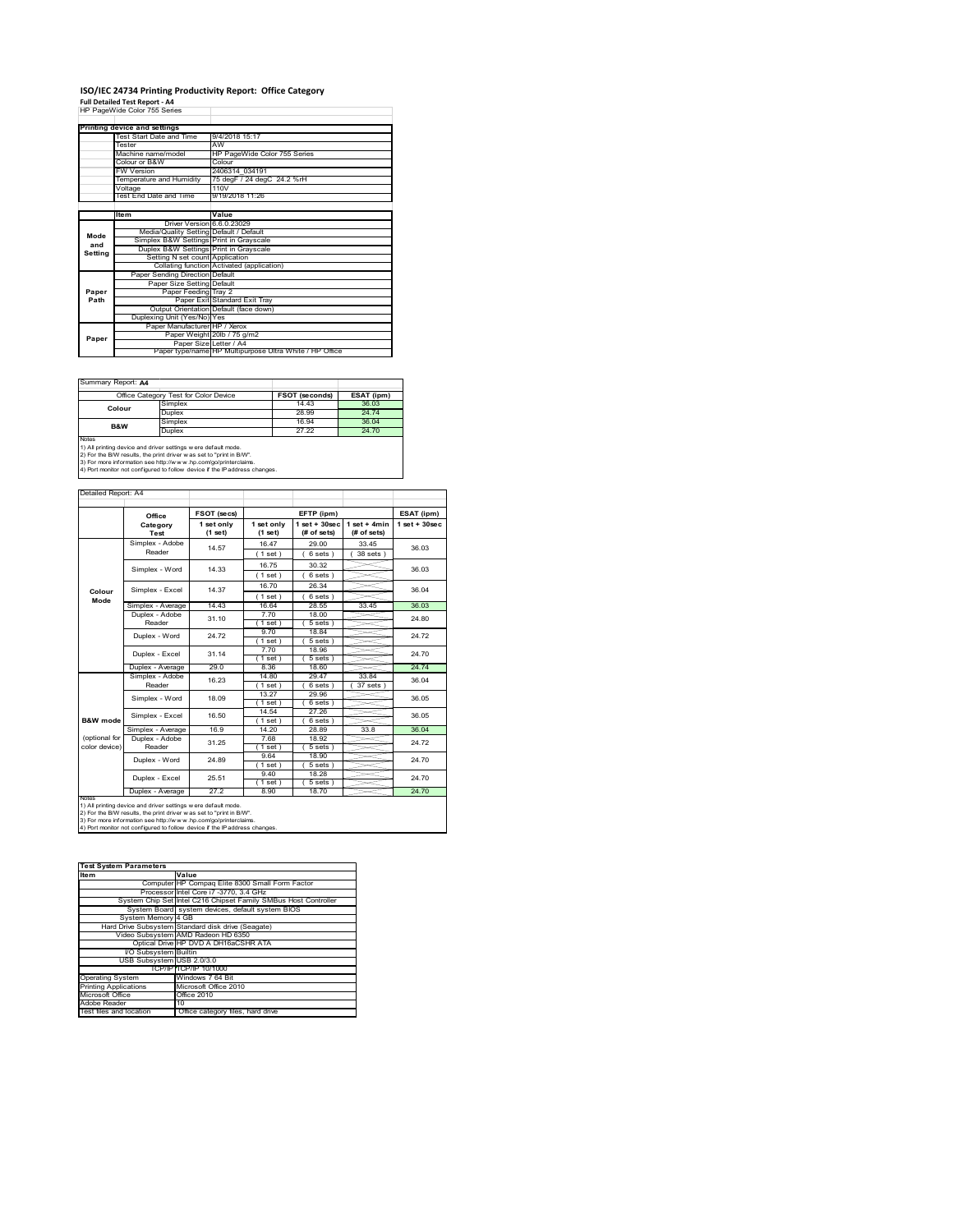#### **ISO/IEC 24734 Printing Productivity Report: Office Category**

**Full Detailed Test Report ‐ A4** HP PageWide Color 755 Series

|         | Printing device and settings            |                                                         |  |
|---------|-----------------------------------------|---------------------------------------------------------|--|
|         | Test Start Date and Time                | 9/4/2018 15:17                                          |  |
|         | Tester                                  | AW                                                      |  |
|         | Machine name/model                      | HP PageWide Color 755 Series                            |  |
|         | Colour or B&W                           | Colour                                                  |  |
|         | <b>FW Version</b>                       | 2406314 034191                                          |  |
|         | Temperature and Humidity                | 75 degF / 24 degC 24.2 %rH                              |  |
|         | Voltage                                 | 110V                                                    |  |
|         | Test End Date and Time                  | 9/19/2018 11:26                                         |  |
|         |                                         |                                                         |  |
|         | Item                                    | Value                                                   |  |
|         | Driver Version 6.6.0.23029              |                                                         |  |
| Mode    | Media/Quality Setting Default / Default |                                                         |  |
| and     | Simplex B&W Settings Print in Grayscale |                                                         |  |
| Setting | Duplex B&W Settings Print in Grayscale  |                                                         |  |
|         | Setting N set count Application         |                                                         |  |
|         |                                         | Collating function Activated (application)              |  |
|         | Paper Sending Direction Default         |                                                         |  |
|         | Paper Size Setting Default              |                                                         |  |
| Paper   | Paper Feeding Tray 2                    |                                                         |  |
| Path    |                                         | Paper Exit Standard Exit Tray                           |  |
|         |                                         | Output Orientation Default (face down)                  |  |
|         | Duplexing Unit (Yes/No) Yes             |                                                         |  |
|         | Paper Manufacturer HP / Xerox           |                                                         |  |
| Paper   |                                         | Paper Weight 20lb / 75 g/m2                             |  |
|         | Paper Size Letter / A4                  |                                                         |  |
|         |                                         | Paper type/name HP Multipurpose Ultra White / HP Office |  |

٦

Summary Report: **A4**

| Office Category Test for Color Device                                                                                                                                                                                                                                                           |       | ESAT (ipm)            |  |  |
|-------------------------------------------------------------------------------------------------------------------------------------------------------------------------------------------------------------------------------------------------------------------------------------------------|-------|-----------------------|--|--|
| Simplex                                                                                                                                                                                                                                                                                         | 14.43 | 36.03                 |  |  |
| Duplex                                                                                                                                                                                                                                                                                          | 28.99 | 24.74                 |  |  |
| Simplex                                                                                                                                                                                                                                                                                         | 16.94 | 36.04                 |  |  |
| 27.22<br><b>Duplex</b>                                                                                                                                                                                                                                                                          |       | 24.70                 |  |  |
| Notes<br>1) All printing device and driver settings w ere default mode.<br>2) For the B/W results, the print driver was set to "print in B/W".<br>3) For more information see http://www.hp.com/go/printerclaims.<br>4) Port monitor not configured to follow device if the IP address changes. |       |                       |  |  |
|                                                                                                                                                                                                                                                                                                 |       | <b>FSOT (seconds)</b> |  |  |

| Detailed Report: A4 |                   |                         |                       |                                  |                               |                   |
|---------------------|-------------------|-------------------------|-----------------------|----------------------------------|-------------------------------|-------------------|
|                     | Office            | FSOT (secs)             |                       | EFTP (ipm)                       |                               | ESAT (ipm)        |
|                     | Category<br>Test  | 1 set only<br>$(1$ set) | 1 set only<br>(1 set) | $1$ set $+30$ sec<br>(# of sets) | $1$ set + 4min<br>(# of sets) | $1$ set $+30$ sec |
|                     | Simplex - Adobe   | 14.57                   | 16.47                 | 29.00                            | 33.45                         | 36.03             |
|                     | Reader            |                         | (1 set)               | 6 sets)                          | 38 sets )                     |                   |
|                     | Simplex - Word    | 14 33                   | 16.75                 | 30.32                            |                               | 36.03             |
|                     |                   |                         | (1 set)               | 6 sets)                          |                               |                   |
|                     | Simplex - Excel   | 14 37                   | 16.70                 | 26.34                            |                               | 36.04             |
| Colour<br>Mode      |                   |                         | (1 set)               | 6 sets)                          |                               |                   |
|                     | Simplex - Average | 14.43                   | 16.64                 | 28.55                            | 33.45                         | 36.03             |
|                     | Duplex - Adobe    | 31.10                   | 7.70                  | 18.00                            |                               | 24.80             |
|                     | Reader            |                         | $1$ set)              | 5 sets)                          |                               |                   |
|                     | Duplex - Word     | 24 72                   | 9.70                  | 18.84                            |                               | 24.72             |
|                     |                   |                         | $1$ set $)$           | $5 sets$ )                       |                               |                   |
|                     | Duplex - Excel    | 31.14                   | 770                   | 18.96                            |                               | 24 70             |
|                     |                   |                         | $1$ set)              | $5 sets$ )                       |                               |                   |
|                     | Duplex - Average  | 29.0                    | 8.36                  | 18.60                            |                               | 24.74             |
|                     | Simplex - Adobe   | 16.23                   | 14.80                 | 29.47                            | 33.84                         | 36.04             |
|                     | Reader            |                         | $1$ set)<br>13 27     | 6 sets )<br>29.96                | $37$ sets                     |                   |
|                     | Simplex - Word    | 18.09                   |                       |                                  |                               | 36.05             |
|                     |                   |                         | $1$ set)<br>14.54     | 6 sets)<br>27.26                 |                               |                   |
| <b>B&amp;W</b> mode | Simplex - Excel   | 16.50                   | (1 set)               | $6 sets$ )                       |                               | 36.05             |
|                     | Simplex - Average | 16.9                    | 14 20                 | 28.89                            | 33.8                          | 36.04             |
| (optional for       | Duplex - Adobe    |                         | 7.68                  | 18.92                            |                               |                   |
| color device)       | Reader            | 31.25                   | $1$ set)              | 5 sets)                          |                               | 24.72             |
|                     |                   |                         | 9.64                  | 18.90                            |                               |                   |
|                     | Duplex - Word     | 24 89                   | $1$ set)              | 5 sets)                          |                               | 24.70             |
|                     | Duplex - Excel    | 25.51                   | 9.40                  | 18.28                            |                               | 24 70             |
|                     |                   |                         | (1 set)               | 5 sets)                          |                               |                   |
|                     | Duplex - Average  | 27.2                    | 8.90                  | 18.70                            |                               | 24.70             |
| <b>NOtes</b>        |                   |                         |                       |                                  |                               |                   |

notes<br>1) All printing device and driver settings were default mode.<br>2) For the B/W results, the print driver was set to "print in B/W".<br>3) For more information see http://www.hp.com/go/printerclaims.<br>4) Por morator not con

| <b>Test System Parameters</b> |                                                                 |  |  |
|-------------------------------|-----------------------------------------------------------------|--|--|
| <b>Item</b>                   | Value                                                           |  |  |
|                               | Computer HP Compaq Elite 8300 Small Form Factor                 |  |  |
|                               | Processor Intel Core i7 -3770, 3.4 GHz                          |  |  |
|                               | System Chip Set Intel C216 Chipset Family SMBus Host Controller |  |  |
|                               | System Board system devices, default system BIOS                |  |  |
| System Memory 4 GB            |                                                                 |  |  |
|                               | Hard Drive Subsystem Standard disk drive (Seagate)              |  |  |
|                               | Video Subsystem AMD Radeon HD 6350                              |  |  |
|                               | Optical Drive HP DVD A DH16aCSHR ATA                            |  |  |
| I/O Subsystem Builtin         |                                                                 |  |  |
| USB Subsystem USB 2.0/3.0     |                                                                 |  |  |
|                               | TCP/IPITCP/IP 10/1000                                           |  |  |
| <b>Operating System</b>       | Windows 7 64 Bit                                                |  |  |
| <b>Printing Applications</b>  | Microsoft Office 2010                                           |  |  |
| Microsoft Office              | Office 2010                                                     |  |  |
| Adobe Reader                  | 10                                                              |  |  |
| Test files and location       | Office category files, hard drive                               |  |  |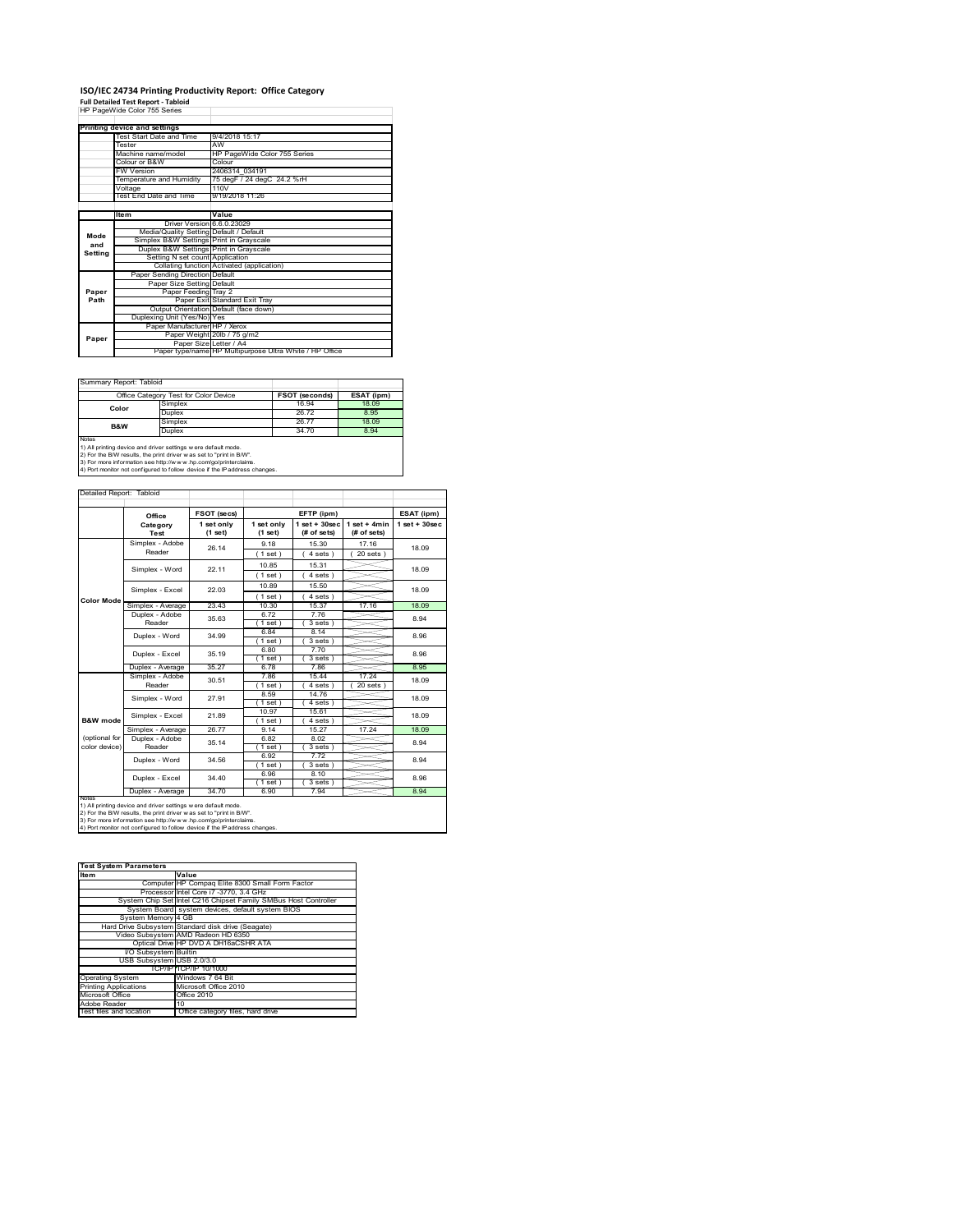# **ISO/IEC 24734 Printing Productivity Report: Office Category Full Detailed Test Report ‐ Tabloid** HP PageWide Color 755 Series

|         | Printing device and settings            |                                                         |  |  |  |  |
|---------|-----------------------------------------|---------------------------------------------------------|--|--|--|--|
|         | Test Start Date and Time                | 9/4/2018 15:17                                          |  |  |  |  |
|         | Tester                                  | AW                                                      |  |  |  |  |
|         | Machine name/model                      | HP PageWide Color 755 Series                            |  |  |  |  |
|         | Colour or B&W                           | Colour                                                  |  |  |  |  |
|         | FW Version                              | 2406314 034191                                          |  |  |  |  |
|         | Temperature and Humidity                | 75 degF / 24 degC 24.2 %rH                              |  |  |  |  |
|         | Voltage                                 | 110V                                                    |  |  |  |  |
|         | Test End Date and Time                  | 9/19/2018 11:26                                         |  |  |  |  |
|         |                                         |                                                         |  |  |  |  |
|         | ltem                                    | Value                                                   |  |  |  |  |
|         | Driver Version 6.6.0.23029              |                                                         |  |  |  |  |
| Mode    | Media/Quality Setting Default / Default |                                                         |  |  |  |  |
| and     | Simplex B&W Settings Print in Grayscale |                                                         |  |  |  |  |
| Setting | Duplex B&W Settings Print in Grayscale  |                                                         |  |  |  |  |
|         | Setting N set count Application         |                                                         |  |  |  |  |
|         |                                         | Collating function Activated (application)              |  |  |  |  |
|         | Paper Sending Direction Default         |                                                         |  |  |  |  |
|         | Paper Size Setting Default              |                                                         |  |  |  |  |
| Paper   | Paper Feeding Tray 2                    |                                                         |  |  |  |  |
| Path    |                                         | Paper Exit Standard Exit Tray                           |  |  |  |  |
|         |                                         | Output Orientation Default (face down)                  |  |  |  |  |
|         | Duplexing Unit (Yes/No) Yes             |                                                         |  |  |  |  |
|         | Paper Manufacturer HP / Xerox           |                                                         |  |  |  |  |
| Paper   |                                         | Paper Weight 20lb / 75 g/m2                             |  |  |  |  |
|         | Paper Size Letter / A4                  |                                                         |  |  |  |  |
|         |                                         | Paper type/name HP Multipurpose Ultra White / HP Office |  |  |  |  |

Ī.

Summary Report: Tabloid

| Office Category Test for Color Device                                                                                                                                                                                                                                                           |                 | <b>FSOT (seconds)</b> | ESAT (ipm) |  |
|-------------------------------------------------------------------------------------------------------------------------------------------------------------------------------------------------------------------------------------------------------------------------------------------------|-----------------|-----------------------|------------|--|
| Color                                                                                                                                                                                                                                                                                           | Simplex         | 16.94                 | 18.09      |  |
|                                                                                                                                                                                                                                                                                                 | Duplex          | 26.72                 | 8.95       |  |
| <b>B&amp;W</b>                                                                                                                                                                                                                                                                                  | Simplex         | 26.77                 | 18.09      |  |
|                                                                                                                                                                                                                                                                                                 | Duplex<br>34.70 |                       | 8.94       |  |
| Notes<br>1) All printing device and driver settings w ere default mode.<br>2) For the B/W results, the print driver was set to "print in B/W".<br>3) For more information see http://www.hp.com/go/printerclaims.<br>4) Port monitor not configured to follow device if the IP address changes. |                 |                       |            |  |

|                                                                   | Office            | FSOT (secs)           | EFTP (ipm)            |                                  | ESAT (ipm)                    |                    |
|-------------------------------------------------------------------|-------------------|-----------------------|-----------------------|----------------------------------|-------------------------------|--------------------|
|                                                                   | Category<br>Test  | 1 set only<br>(1 set) | 1 set only<br>(1 set) | $1$ set $+30$ sec<br>(# of sets) | $1$ set + 4min<br>(# of sets) | $1$ set + $30$ sec |
|                                                                   | Simplex - Adobe   | 26.14                 | 9.18                  | 15.30                            | 17.16                         | 18.09              |
|                                                                   | Reader            |                       | (1 set)               | 4 sets                           | $20$ sets $)$                 |                    |
|                                                                   | Simplex - Word    | 22 11                 | 10.85                 | 15.31                            |                               | 18.09              |
|                                                                   |                   |                       | (1 set)               | 4 sets)                          |                               |                    |
|                                                                   | Simplex - Excel   | 22.03                 | 10.89                 | 15.50                            |                               | 18.09              |
| <b>Color Mode</b>                                                 |                   |                       | $1$ set)              | $4 sets$ )                       |                               |                    |
|                                                                   | Simplex - Average | 23 43                 | 10.30                 | 15.37                            | 17.16                         | 18.09              |
|                                                                   | Duplex - Adobe    | 35.63                 | 672                   | 776                              |                               | 8.94               |
|                                                                   | Reader            |                       | $1$ set)              | 3 sets)                          |                               |                    |
|                                                                   | Duplex - Word     | 34 99                 | 6.84                  | 8.14                             |                               | 8.96               |
|                                                                   |                   |                       | $1$ set)              | 3 sets 1<br>770                  |                               |                    |
|                                                                   | Duplex - Excel    | 35.19                 | 6.80<br>$1$ set)      | 3 sets)                          |                               | 8.96               |
|                                                                   | Duplex - Average  | 35.27                 | 6.78                  | 7.86                             |                               | 8.95               |
|                                                                   | Simplex - Adobe   |                       | 7.86                  | 15.44                            | 17.24                         |                    |
|                                                                   | Reader            | 30.51                 | 1 set                 | 4 sets                           | 20 sets                       | 18.09              |
|                                                                   | Simplex - Word    | 27.91                 | 8.59                  | 14.76                            |                               | 18.09              |
|                                                                   |                   |                       | $1$ set)              | 4 sets )                         |                               |                    |
|                                                                   | Simplex - Excel   | 21.89                 | 10.97                 | 15.61                            |                               | 18.09              |
| B&W mode                                                          |                   |                       | $1$ set)              | 4 sets)                          |                               |                    |
|                                                                   | Simplex - Average | 26.77                 | 9 14                  | 15.27                            | 17.24                         | 18.09              |
| (optional for                                                     | Duplex - Adobe    | 35.14                 | 6.82                  | 8.02                             |                               | 8.94               |
| color device)                                                     | Reader            |                       | $1$ set)              | $3 sets$ )                       |                               |                    |
|                                                                   | Duplex - Word     | 34.56                 | 6.92                  | 772                              |                               | 8.94               |
|                                                                   |                   |                       | (1 set)               | 3 sets)                          |                               |                    |
|                                                                   | Duplex - Excel    | 34 40                 | 6.96                  | 8 1 0                            |                               | 8.96               |
|                                                                   |                   |                       | $1$ set)              | 3 sets)                          |                               |                    |
| 34.70<br>8.94<br>Duplex - Average<br>6.90<br>7.94<br><b>NOIRS</b> |                   |                       |                       |                                  |                               |                    |

| <b>Test System Parameters</b> |                                                                 |  |  |
|-------------------------------|-----------------------------------------------------------------|--|--|
| <b>Item</b>                   | Value                                                           |  |  |
|                               | Computer HP Compag Elite 8300 Small Form Factor                 |  |  |
|                               | Processor Intel Core i7 -3770, 3.4 GHz                          |  |  |
|                               | System Chip Set Intel C216 Chipset Family SMBus Host Controller |  |  |
|                               | System Board system devices, default system BIOS                |  |  |
| System Memory 4 GB            |                                                                 |  |  |
|                               | Hard Drive Subsystem Standard disk drive (Seagate)              |  |  |
|                               | Video Subsystem AMD Radeon HD 6350                              |  |  |
|                               | Optical Drive HP DVD A DH16aCSHR ATA                            |  |  |
| <b>VO Subsystem Builtin</b>   |                                                                 |  |  |
| USB Subsystem USB 2.0/3.0     |                                                                 |  |  |
|                               | TCP/IPITCP/IP 10/1000                                           |  |  |
| <b>Operating System</b>       | Windows 7 64 Bit                                                |  |  |
| <b>Printing Applications</b>  | Microsoft Office 2010                                           |  |  |
| Microsoft Office              | Office 2010                                                     |  |  |
| Adobe Reader                  | 10                                                              |  |  |
| Test files and location       | Office category files, hard drive                               |  |  |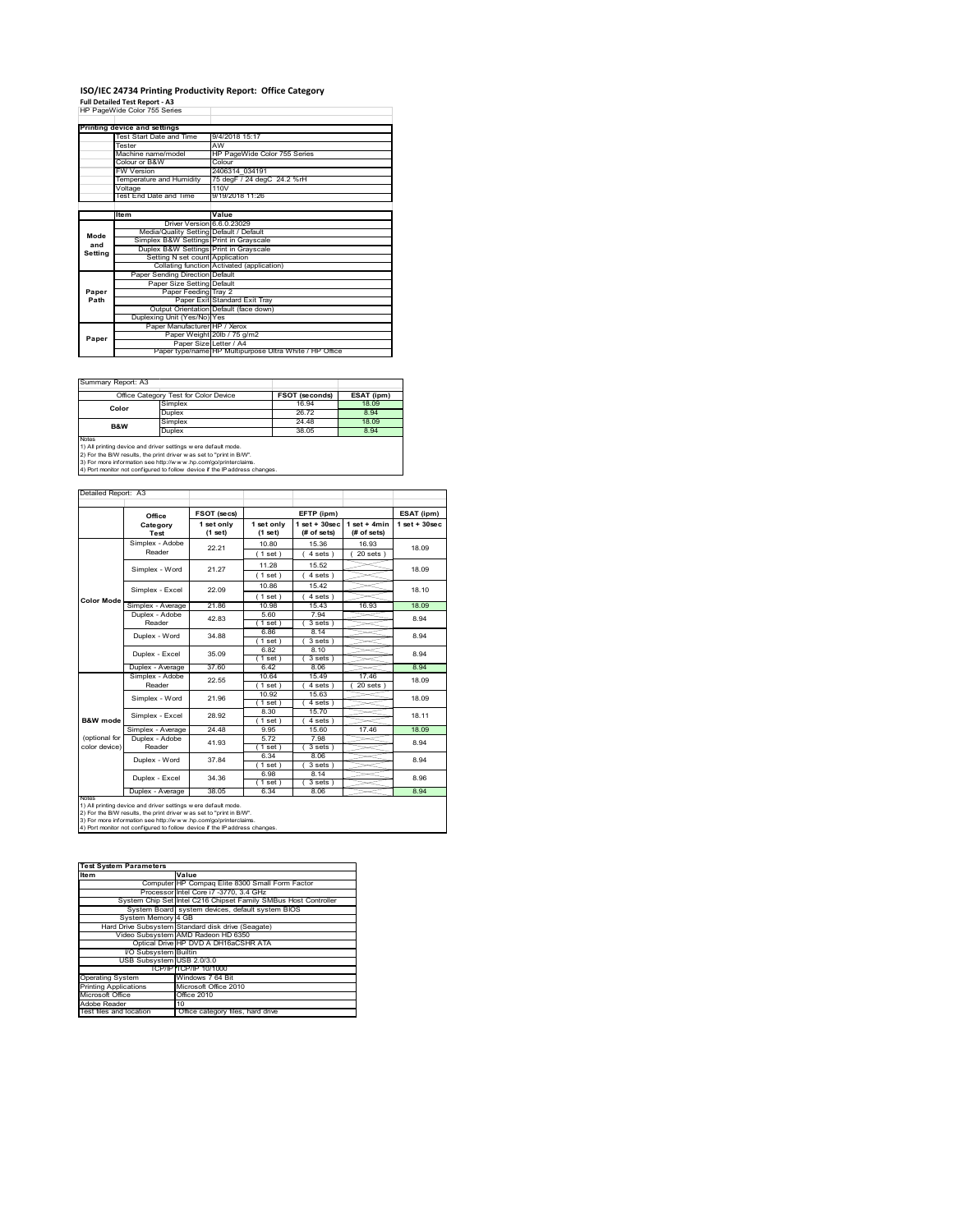### **ISO/IEC 24734 Printing Productivity Report: Office Category**

**Full Detailed Test Report ‐ A3** HP PageWide Color 755 Series

|         | Printing device and settings            |                                                         |
|---------|-----------------------------------------|---------------------------------------------------------|
|         | Test Start Date and Time                | 9/4/2018 15:17                                          |
|         | Tester                                  | AW                                                      |
|         | Machine name/model                      | HP PageWide Color 755 Series                            |
|         | Colour or B&W                           | Colour                                                  |
|         | FW Version                              | 2406314 034191                                          |
|         | Temperature and Humidity                | 75 degF / 24 degC 24.2 %rH                              |
|         | Voltage                                 | 110V                                                    |
|         | Test End Date and Time                  | 9/19/2018 11:26                                         |
|         |                                         |                                                         |
|         | Item                                    | Value                                                   |
|         | Driver Version 6.6.0.23029              |                                                         |
| Mode    | Media/Quality Setting Default / Default |                                                         |
| and     | Simplex B&W Settings Print in Grayscale |                                                         |
| Setting | Duplex B&W Settings Print in Grayscale  |                                                         |
|         | Setting N set count Application         |                                                         |
|         |                                         | Collating function Activated (application)              |
|         | Paper Sending Direction Default         |                                                         |
|         | Paper Size Setting Default              |                                                         |
| Paper   | Paper Feeding Tray 2                    |                                                         |
| Path    |                                         | Paper Exit Standard Exit Tray                           |
|         |                                         | Output Orientation Default (face down)                  |
|         | Duplexing Unit (Yes/No) Yes             |                                                         |
|         | Paper Manufacturer HP / Xerox           |                                                         |
| Paper   |                                         | Paper Weight 20lb / 75 g/m2                             |
|         | Paper Size Letter / A4                  |                                                         |
|         |                                         | Paper type/name HP Multipurpose Ultra White / HP Office |

Ï

Summary Report: A3

|                | Office Category Test for Color Device                               | <b>FSOT (seconds)</b> | ESAT (ipm) |
|----------------|---------------------------------------------------------------------|-----------------------|------------|
| Color          | Simplex                                                             | 16.94                 | 18.09      |
|                | Duplex                                                              | 26.72                 | 8.94       |
| <b>B&amp;W</b> | Simplex                                                             | 24.48                 | 18.09      |
|                | Duplex                                                              | 38.05                 | 8.94       |
| <b>Notes</b>   | 1) All printing device and driver settings w ere default mode.      |                       |            |
|                | 2) For the B/W results, the print driver was set to "print in B/W". |                       |            |

2) For the B/W results, the print driver w as set to "print in B/W".<br>3) For more information see http://w w w .hp.com/go/printerclaims.<br>4) Port monitor not configured to follow device if the IP address changes.

| Detailed Report: A3            |                                                                                                                                                                                                                                                                                        |                       |                       |                                   |                               |                   |
|--------------------------------|----------------------------------------------------------------------------------------------------------------------------------------------------------------------------------------------------------------------------------------------------------------------------------------|-----------------------|-----------------------|-----------------------------------|-------------------------------|-------------------|
|                                |                                                                                                                                                                                                                                                                                        |                       |                       |                                   |                               |                   |
|                                | Office                                                                                                                                                                                                                                                                                 | FSOT (secs)           |                       | EFTP (ipm)                        |                               | ESAT (ipm)        |
|                                | Category<br>Test                                                                                                                                                                                                                                                                       | 1 set only<br>(1 set) | 1 set only<br>(1 set) | $1$ set + $30$ sec<br>(# of sets) | $1$ set + 4min<br>(# of sets) | $1$ set $+30$ sec |
|                                | Simplex - Adobe<br>Reader                                                                                                                                                                                                                                                              | 22.21                 | 10.80<br>(1 set)      | 15.36<br>4 sets)                  | 16.93<br>20 sets 1            | 18.09             |
|                                | Simplex - Word                                                                                                                                                                                                                                                                         | 21 27                 | 11.28<br>(1 set)      | 15.52<br>$4 sets$ )               |                               | 18.09             |
|                                | Simplex - Excel                                                                                                                                                                                                                                                                        | 22.09                 | 10.86<br>(1 set)      | 1542<br>$4 sets$ )                |                               | 18.10             |
| <b>Color Mode</b>              | Simplex - Average                                                                                                                                                                                                                                                                      | 2186                  | 10.98                 | 15 43                             | 16.93                         | 18.09             |
|                                | Duplex - Adobe<br>Reader                                                                                                                                                                                                                                                               | 42.83                 | 5.60<br>$1$ set)      | 7.94<br>$3 sets$ )                |                               | 8.94              |
|                                | Duplex - Word                                                                                                                                                                                                                                                                          | 34.88                 | 6.86<br>1 set         | 8.14<br>3 sets)                   |                               | 8.94              |
|                                | Duplex - Excel                                                                                                                                                                                                                                                                         | 35.09                 | 6.82<br>(1 set)       | 8.10<br>3 sets                    |                               | 8.94              |
|                                | Duplex - Average                                                                                                                                                                                                                                                                       | 37.60                 | 642                   | 8.06                              |                               | 8.94              |
|                                | Simplex - Adobe<br>Reader                                                                                                                                                                                                                                                              | 22.55                 | 10.64<br>(1 set)      | 15.49<br>4 sets)                  | 17.46<br>20 sets              | 18.09             |
|                                | Simplex - Word                                                                                                                                                                                                                                                                         | 21.96                 | 10.92<br>(1 set)      | 15.63<br>4 sets)                  |                               | 18.09             |
| <b>B&amp;W</b> mode            | Simplex - Excel                                                                                                                                                                                                                                                                        | 28.92                 | 8.30<br>$1$ set)      | 15.70<br>4 sets)                  |                               | 18 11             |
|                                | Simplex - Average                                                                                                                                                                                                                                                                      | 24.48                 | 9.95                  | 15.60                             | 17.46                         | 18.09             |
| (optional for<br>color device) | Duplex - Adobe<br>Reader                                                                                                                                                                                                                                                               | 41.93                 | 5.72<br>$1$ set $)$   | 7.98<br>3 sets                    |                               | 8.94              |
|                                | Duplex - Word                                                                                                                                                                                                                                                                          | 37 84                 | 6.34<br>$1$ set $)$   | 8.06<br>$3 sets$ )                |                               | 8.94              |
|                                | Duplex - Excel                                                                                                                                                                                                                                                                         | 34 36                 | 6.98<br>$1$ set $)$   | 8 14<br>3 sets)                   |                               | 8.96              |
|                                | Duplex - Average                                                                                                                                                                                                                                                                       | 38.05                 | 6.34                  | 8.06                              |                               | 8.94              |
| <b>NOtes</b>                   | 1) All printing device and driver settings w ere default mode.<br>2) For the B/W results, the print driver was set to "print in B/W".<br>3) For more information see http://www.hp.com/go/printerclaims.<br>4) Port monitor not configured to follow device if the IP address changes. |                       |                       |                                   |                               |                   |

| <b>Test System Parameters</b> |                                                                 |
|-------------------------------|-----------------------------------------------------------------|
| <b>Item</b>                   | Value                                                           |
|                               | Computer HP Compag Elite 8300 Small Form Factor                 |
|                               | Processor Intel Core i7 -3770, 3.4 GHz                          |
|                               | System Chip Set Intel C216 Chipset Family SMBus Host Controller |
|                               | System Board system devices, default system BIOS                |
| System Memory 4 GB            |                                                                 |
|                               | Hard Drive Subsystem Standard disk drive (Seagate)              |
|                               | Video Subsystem AMD Radeon HD 6350                              |
|                               | Optical Drive HP DVD A DH16aCSHR ATA                            |
| I/O Subsystem Builtin         |                                                                 |
| USB Subsystem USB 2.0/3.0     |                                                                 |
|                               | TCP/IPITCP/IP 10/1000                                           |
| <b>Operating System</b>       | Windows 7 64 Bit                                                |
| <b>Printing Applications</b>  | Microsoft Office 2010                                           |
| Microsoft Office              | Office 2010                                                     |
| Adobe Reader                  | 10                                                              |
| Test files and location       | Office category files, hard drive                               |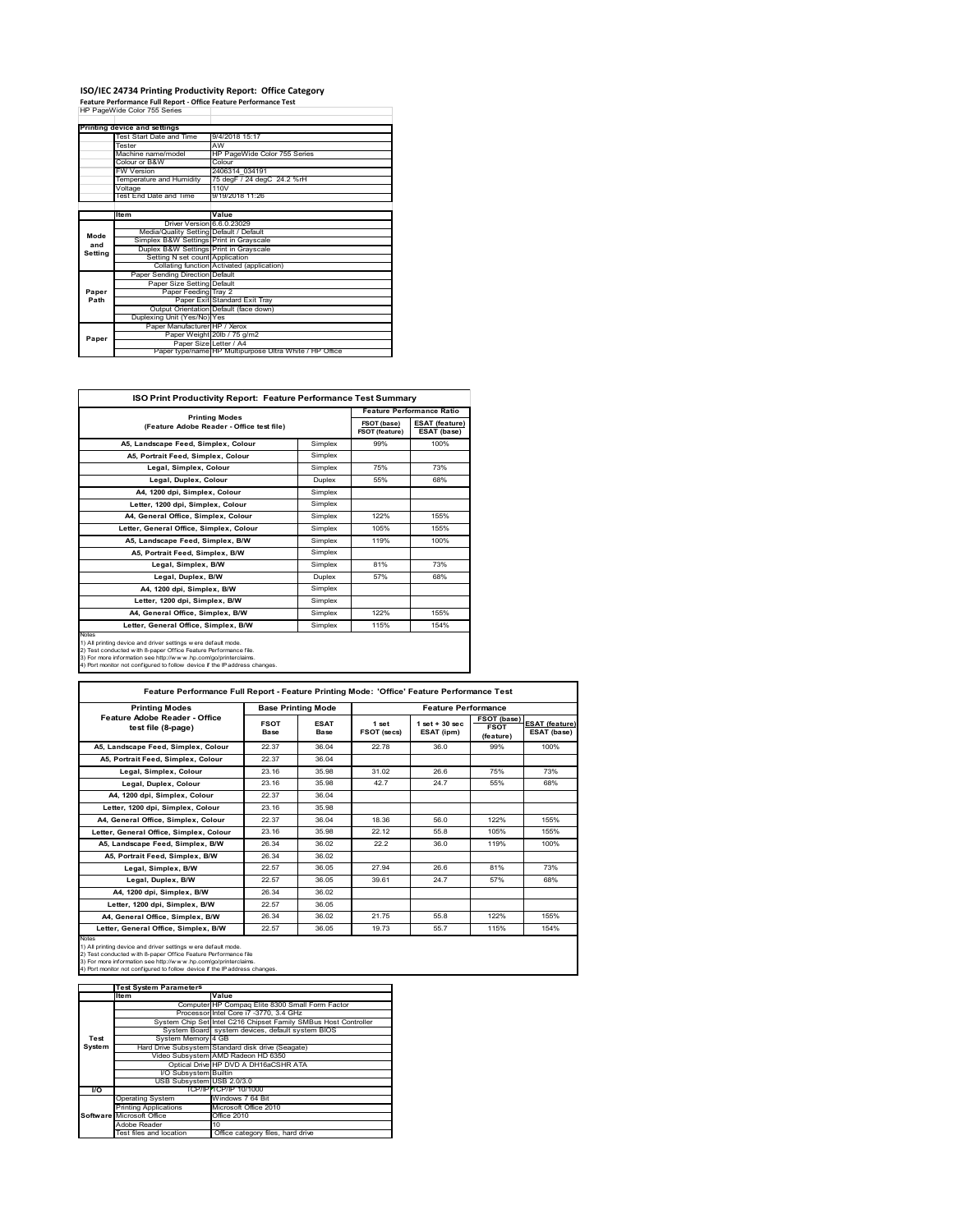#### **ISO/IEC 24734 Printing Productivity Report: Office Category**

**Feature Performance Full Report ‐ Office Feature Performance Test** HP PageWide Color 755 Series

|         | Printing device and settings            |                                                         |
|---------|-----------------------------------------|---------------------------------------------------------|
|         | Test Start Date and Time                | 9/4/2018 15:17                                          |
|         | Tester                                  | AW                                                      |
|         | Machine name/model                      | HP PageWide Color 755 Series                            |
|         | Colour or B&W                           | Colour                                                  |
|         | <b>FW Version</b>                       | 2406314 034191                                          |
|         | Temperature and Humidity                | 75 degF / 24 degC 24.2 %rH                              |
|         | Voltage                                 | 110V                                                    |
|         | Test End Date and Time                  | 9/19/2018 11:26                                         |
|         |                                         |                                                         |
|         | Item                                    | Value                                                   |
|         | Driver Version 6.6.0.23029              |                                                         |
| Mode    | Media/Quality Setting Default / Default |                                                         |
| and     | Simplex B&W Settings Print in Grayscale |                                                         |
| Setting | Duplex B&W Settings Print in Grayscale  |                                                         |
|         | Setting N set count Application         |                                                         |
|         |                                         | Collating function Activated (application)              |
|         | Paper Sending Direction Default         |                                                         |
|         | Paper Size Setting Default              |                                                         |
| Paper   | Paper Feeding Tray 2                    |                                                         |
| Path    |                                         | Paper Exit Standard Exit Tray                           |
|         |                                         | Output Orientation Default (face down)                  |
|         | Duplexing Unit (Yes/No) Yes             |                                                         |
|         | Paper Manufacturer HP / Xerox           |                                                         |
| Paper   |                                         | Paper Weight 20lb / 75 g/m2                             |
|         | Paper Size Letter / A4                  |                                                         |
|         |                                         | Paper type/name HP Multipurpose Ultra White / HP Office |

٦

| ISO Print Productivity Report: Feature Performance Test Summary                                                                                                                                                                                                                             |               |                                      |                                      |
|---------------------------------------------------------------------------------------------------------------------------------------------------------------------------------------------------------------------------------------------------------------------------------------------|---------------|--------------------------------------|--------------------------------------|
| <b>Printing Modes</b>                                                                                                                                                                                                                                                                       |               |                                      | <b>Feature Performance Ratio</b>     |
| (Feature Adobe Reader - Office test file)                                                                                                                                                                                                                                                   |               | FSOT (base)<br><b>FSOT (feature)</b> | <b>ESAT (feature)</b><br>ESAT (base) |
| A5, Landscape Feed, Simplex, Colour                                                                                                                                                                                                                                                         | Simplex       | 99%                                  | 100%                                 |
| A5. Portrait Feed. Simplex. Colour                                                                                                                                                                                                                                                          | Simplex       |                                      |                                      |
| Legal, Simplex, Colour                                                                                                                                                                                                                                                                      | Simplex       | 75%                                  | 73%                                  |
| Legal, Duplex, Colour                                                                                                                                                                                                                                                                       | <b>Duplex</b> | 55%                                  | 68%                                  |
| A4, 1200 dpi, Simplex, Colour                                                                                                                                                                                                                                                               | Simplex       |                                      |                                      |
| Letter, 1200 dpi, Simplex, Colour                                                                                                                                                                                                                                                           | Simplex       |                                      |                                      |
| A4, General Office, Simplex, Colour                                                                                                                                                                                                                                                         | Simplex       | 122%                                 | 155%                                 |
| Letter, General Office, Simplex, Colour                                                                                                                                                                                                                                                     | Simplex       | 105%                                 | 155%                                 |
| A5, Landscape Feed, Simplex, B/W                                                                                                                                                                                                                                                            | Simplex       | 119%                                 | 100%                                 |
| A5, Portrait Feed, Simplex, B/W                                                                                                                                                                                                                                                             | Simplex       |                                      |                                      |
| Legal, Simplex, B/W                                                                                                                                                                                                                                                                         | Simplex       | 81%                                  | 73%                                  |
| Legal, Duplex, B/W                                                                                                                                                                                                                                                                          | <b>Duplex</b> | 57%                                  | 68%                                  |
| A4, 1200 dpi, Simplex, B/W                                                                                                                                                                                                                                                                  | Simplex       |                                      |                                      |
| Letter, 1200 dpi, Simplex, B/W                                                                                                                                                                                                                                                              | Simplex       |                                      |                                      |
| A4. General Office. Simplex. B/W                                                                                                                                                                                                                                                            | Simplex       | 122%                                 | 155%                                 |
| Letter, General Office, Simplex, B/W                                                                                                                                                                                                                                                        | Simplex       | 115%                                 | 154%                                 |
| Notes<br>1) All printing device and driver settings w ere default mode.<br>2) Test conducted with 8-paper Office Feature Performance file.<br>3) For more information see http://www.hp.com/go/printerclaims.<br>4) Port monitor not configured to follow device if the IP address changes. |               |                                      |                                      |

| <b>Printing Modes</b>                               |                     | <b>Base Printing Mode</b> |                      | <b>Feature Performance</b>       |                                         |                                      |
|-----------------------------------------------------|---------------------|---------------------------|----------------------|----------------------------------|-----------------------------------------|--------------------------------------|
| Feature Adobe Reader - Office<br>test file (8-page) | <b>FSOT</b><br>Base | <b>ESAT</b><br>Base       | 1 set<br>FSOT (secs) | $1$ set $+30$ sec.<br>ESAT (ipm) | FSOT (base)<br><b>FSOT</b><br>(feature) | <b>ESAT (feature)</b><br>ESAT (base) |
| A5. Landscape Feed. Simplex. Colour                 | 22.37               | 36.04                     | 22.78                | 36 O                             | 99%                                     | 100%                                 |
| A5. Portrait Feed. Simplex. Colour                  | 22.37               | 36.04                     |                      |                                  |                                         |                                      |
| Legal, Simplex, Colour                              | 23 16               | 35 98                     | 31.02                | 26.6                             | 75%                                     | 73%                                  |
| Legal, Duplex, Colour                               | 23.16               | 35 98                     | 427                  | 247                              | 55%                                     | 68%                                  |
| A4, 1200 dpi, Simplex, Colour                       | 22.37               | 36.04                     |                      |                                  |                                         |                                      |
| Letter, 1200 dpi, Simplex, Colour                   | 23.16               | 35 98                     |                      |                                  |                                         |                                      |
| A4. General Office. Simplex. Colour                 | 22.37               | 36.04                     | 18.36                | 56.0                             | 122%                                    | 155%                                 |
| Letter, General Office, Simplex, Colour             | 23.16               | 35.98                     | 22.12                | 55.8                             | 105%                                    | 155%                                 |
| A5, Landscape Feed, Simplex, B/W                    | 26.34               | 36.02                     | 22.2                 | 36 O                             | 119%                                    | 100%                                 |
| A5, Portrait Feed, Simplex, B/W                     | 26.34               | 36.02                     |                      |                                  |                                         |                                      |
| Legal, Simplex, B/W                                 | 22.57               | 36.05                     | 27.94                | 26.6                             | 81%                                     | 73%                                  |
| Legal, Duplex, B/W                                  | 22.57               | 36.05                     | 39.61                | 247                              | 57%                                     | 68%                                  |
| A4. 1200 dpi. Simplex, B/W                          | 26.34               | 36.02                     |                      |                                  |                                         |                                      |
| Letter, 1200 dpi, Simplex, B/W                      | 22.57               | 36.05                     |                      |                                  |                                         |                                      |
| A4, General Office, Simplex, B/W                    | 26.34               | 36.02                     | 21.75                | 55.8                             | 122%                                    | 155%                                 |
| Letter, General Office, Simplex, B/W                | 22.57               | 36.05                     | 19.73                | 557                              | 115%                                    | 154%                                 |

Notes<br>1) All printing device and driver settings were default mode.<br>2) Test conducted with 8-paper Office Feature Performance file<br>3) For more information see http://www.hp.com/go/printerclaims.<br>4) Por monitor not configur

|               | <b>Test System Parameters</b> |                                                                 |
|---------------|-------------------------------|-----------------------------------------------------------------|
|               | <b>Item</b>                   | Value                                                           |
|               |                               | Computer HP Compag Elite 8300 Small Form Factor                 |
|               |                               | Processor Intel Core i7 -3770, 3.4 GHz                          |
|               |                               | System Chip Set Intel C216 Chipset Family SMBus Host Controller |
|               |                               | System Board system devices, default system BIOS                |
| Test          | System Memory 4 GB            |                                                                 |
| <b>System</b> |                               | Hard Drive Subsystem Standard disk drive (Seagate)              |
|               |                               | Video Subsystem AMD Radeon HD 6350                              |
|               |                               | Optical Drive HP DVD A DH16aCSHR ATA                            |
|               | I/O Subsystem Builtin         |                                                                 |
|               | USB Subsystem USB 2.0/3.0     |                                                                 |
| <b>VO</b>     |                               | TCP/IPITCP/IP 10/1000                                           |
|               | <b>Operating System</b>       | Windows 7 64 Bit                                                |
|               | <b>Printing Applications</b>  | Microsoft Office 2010                                           |
|               | Software Microsoft Office     | Office 2010                                                     |
|               | Adobe Reader                  | 10                                                              |
|               | Test files and location       | Office category files, hard drive                               |
|               |                               |                                                                 |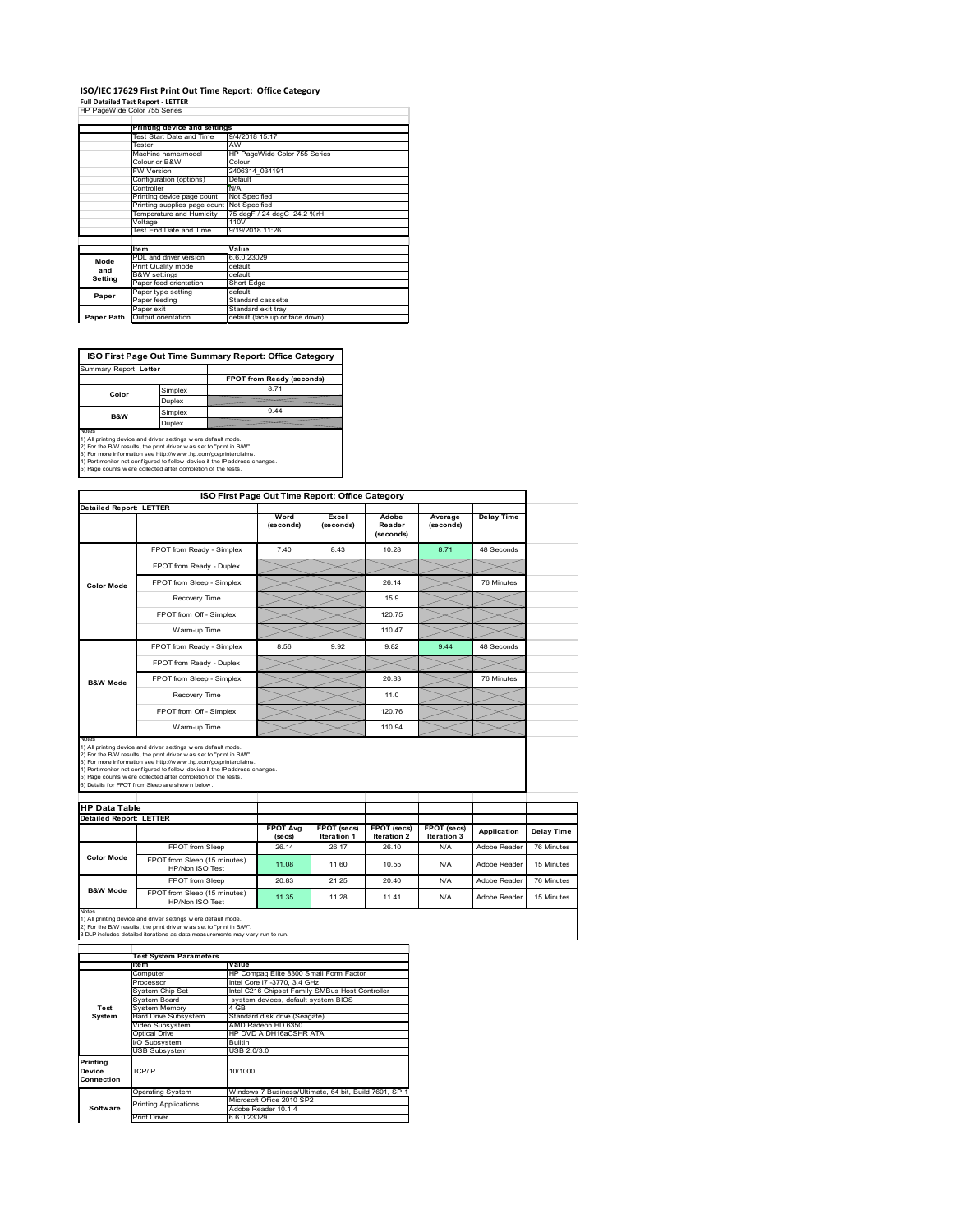#### **ISO/IEC 17629 First Print Out Time Report: Office Category Full Detailed Test Report ‐ LETTER**

|  |                              |  | Tail becamed Test Report - EETTER |
|--|------------------------------|--|-----------------------------------|
|  | HP PageWide Color 755 Series |  |                                   |

|            | Printing device and settings               |                                |
|------------|--------------------------------------------|--------------------------------|
|            | Test Start Date and Time                   | 9/4/2018 15:17                 |
|            | Tester                                     | AW                             |
|            | Machine name/model                         | HP PageWide Color 755 Series   |
|            | Colour or B&W                              | Colour                         |
|            | <b>FW Version</b>                          | 2406314 034191                 |
|            | Configuration (options)                    | Default                        |
|            | Controller                                 | N/A                            |
|            | Printing device page count                 | Not Specified                  |
|            | Printing supplies page count Not Specified |                                |
|            | Temperature and Humidity                   | 75 degF / 24 degC 24.2 %rH     |
|            | Voltage                                    | 110V                           |
|            | Test End Date and Time                     | 9/19/2018 11:26                |
|            |                                            |                                |
|            | <b>Item</b>                                | Value                          |
| Mode       | PDL and driver version                     | 6.6.0.23029                    |
| and        | Print Quality mode                         | default                        |
| Setting    | <b>B&amp;W</b> settings                    | default                        |
|            | Paper feed orientation                     | Short Edge                     |
| Paper      | Paper type setting                         | default                        |
|            | Paper feeding                              | Standard cassette              |
|            | Paper exit                                 | Standard exit tray             |
| Paper Path | Output orientation                         | default (face up or face down) |

**ISO First Page Out Time Summary Report: Office Category**

| Summary Report: Letter |         |                           |
|------------------------|---------|---------------------------|
|                        |         | FPOT from Ready (seconds) |
| Color                  | Simplex | 8.71                      |
|                        | Duplex  |                           |
| <b>B&amp;W</b>         | Simplex | 9.44                      |
|                        | Duplex  |                           |
| Notes                  |         |                           |

Notes<br>1) All printing device and driver settings were default mode.<br>2) For the BW results, the print driver was set to "print in BW".<br>3) For more information see http://www.hp.com/golprinterclaims.<br>4) Rot monitor not confi

|                                                        |                                                                                                                                                                                                                                                                                                                                                                                                             |                            | ISO First Page Out Time Report: Office Category |                              |                            |                   |
|--------------------------------------------------------|-------------------------------------------------------------------------------------------------------------------------------------------------------------------------------------------------------------------------------------------------------------------------------------------------------------------------------------------------------------------------------------------------------------|----------------------------|-------------------------------------------------|------------------------------|----------------------------|-------------------|
| <b>Detailed Report: LETTER</b>                         |                                                                                                                                                                                                                                                                                                                                                                                                             | Word<br>(seconds)          | Excel<br>(seconds)                              | Adobe<br>Reader<br>(seconds) | Average<br>(seconds)       | <b>Delay Time</b> |
|                                                        | FPOT from Ready - Simplex                                                                                                                                                                                                                                                                                                                                                                                   | 7.40                       | 8.43                                            | 10.28                        | 8.71                       | 48 Seconds        |
|                                                        | FPOT from Ready - Duplex                                                                                                                                                                                                                                                                                                                                                                                    |                            |                                                 |                              |                            |                   |
| <b>Color Mode</b>                                      | FPOT from Sleep - Simplex                                                                                                                                                                                                                                                                                                                                                                                   |                            |                                                 | 26.14                        |                            | 76 Minutes        |
|                                                        | Recovery Time                                                                                                                                                                                                                                                                                                                                                                                               |                            |                                                 | 15.9                         |                            |                   |
|                                                        | FPOT from Off - Simplex                                                                                                                                                                                                                                                                                                                                                                                     |                            |                                                 | 120.75                       |                            |                   |
|                                                        | Warm-up Time                                                                                                                                                                                                                                                                                                                                                                                                |                            |                                                 | 110.47                       |                            |                   |
|                                                        | FPOT from Ready - Simplex                                                                                                                                                                                                                                                                                                                                                                                   | 8.56                       | 9.92                                            | 9.82                         | 944                        | 48 Seconds        |
|                                                        | FPOT from Ready - Duplex                                                                                                                                                                                                                                                                                                                                                                                    |                            |                                                 |                              |                            |                   |
| <b>B&amp;W Mode</b>                                    | FPOT from Sleep - Simplex                                                                                                                                                                                                                                                                                                                                                                                   |                            |                                                 | 20.83                        |                            | 76 Minutes        |
|                                                        | Recovery Time                                                                                                                                                                                                                                                                                                                                                                                               |                            |                                                 | 11.0                         |                            |                   |
|                                                        | FPOT from Off - Simplex                                                                                                                                                                                                                                                                                                                                                                                     |                            |                                                 | 120.76                       |                            |                   |
|                                                        |                                                                                                                                                                                                                                                                                                                                                                                                             |                            |                                                 |                              |                            |                   |
| Notes                                                  | Warm-up Time                                                                                                                                                                                                                                                                                                                                                                                                |                            |                                                 | 110.94                       |                            |                   |
|                                                        | 1) All printing device and driver settings w ere default mode.<br>2) For the B/W results, the print driver was set to "print in B/W".<br>3) For more information see http://www.hp.com/go/printerclaims.<br>4) Port monitor not configured to follow device if the IP address changes.<br>5) Page counts w ere collected after completion of the tests.<br>6) Details for FPOT from Sleep are show n below. |                            |                                                 |                              |                            |                   |
| <b>HP Data Table</b><br><b>Detailed Report: LETTER</b> |                                                                                                                                                                                                                                                                                                                                                                                                             |                            |                                                 |                              |                            |                   |
|                                                        |                                                                                                                                                                                                                                                                                                                                                                                                             | <b>FPOT Avg</b><br>(se cs) | FPOT (secs)<br><b>Iteration 1</b>               | FPOT (secs)<br>Iteration 2   | FPOT (secs)<br>Iteration 3 | Application       |
|                                                        | FPOT from Sleep                                                                                                                                                                                                                                                                                                                                                                                             | 26.14                      | 26.17                                           | 26.10                        | N/A                        | Adobe Reader      |
| Color Mode                                             | FPOT from Sleep (15 minutes)<br>HP/Non ISO Test                                                                                                                                                                                                                                                                                                                                                             | 11.08                      | 11.60                                           | 10.55                        | N/A                        | Adobe Reader      |
| <b>B&amp;W Mode</b>                                    | <b>FPOT</b> from Sleep                                                                                                                                                                                                                                                                                                                                                                                      | 20.83                      | 21 25                                           | 20.40                        | N/A                        | Adobe Reader      |

Notes<br>1) All printing device and driver settings w ere default mode.<br>2) For the B/W results, the print driver w as set to "print in B/W".<br>3 DLP includes detailed iterations as data measurements may vary run to run.

|                                            | <b>Test System Parameters</b> |                                                       |  |  |  |  |
|--------------------------------------------|-------------------------------|-------------------------------------------------------|--|--|--|--|
|                                            | Item                          | Value                                                 |  |  |  |  |
|                                            | Computer                      | HP Compaq Elite 8300 Small Form Factor                |  |  |  |  |
|                                            | Processor                     | Intel Core i7 -3770, 3.4 GHz                          |  |  |  |  |
|                                            | System Chip Set               | Intel C216 Chipset Family SMBus Host Controller       |  |  |  |  |
|                                            | System Board                  | system devices, default system BIOS                   |  |  |  |  |
| Test                                       | <b>System Memory</b>          | 4 GB                                                  |  |  |  |  |
| System                                     | Hard Drive Subsystem          | Standard disk drive (Seagate)                         |  |  |  |  |
|                                            | Video Subsystem               | AMD Radeon HD 6350                                    |  |  |  |  |
|                                            | Optical Drive                 | HP DVD A DH16aCSHR ATA                                |  |  |  |  |
|                                            | I/O Subsystem                 | <b>Builtin</b>                                        |  |  |  |  |
|                                            | <b>USB Subsystem</b>          | USB 2.0/3.0                                           |  |  |  |  |
| Printing<br>TCP/IP<br>Device<br>Connection |                               | 10/1000                                               |  |  |  |  |
|                                            | <b>Operating System</b>       | Windows 7 Business/Ultimate, 64 bit, Build 7601, SP 1 |  |  |  |  |
|                                            | <b>Printing Applications</b>  | Microsoft Office 2010 SP2                             |  |  |  |  |
| Software                                   |                               | Adobe Reader 10.1.4                                   |  |  |  |  |
|                                            | Print Driver                  | 6.6.0.23029                                           |  |  |  |  |